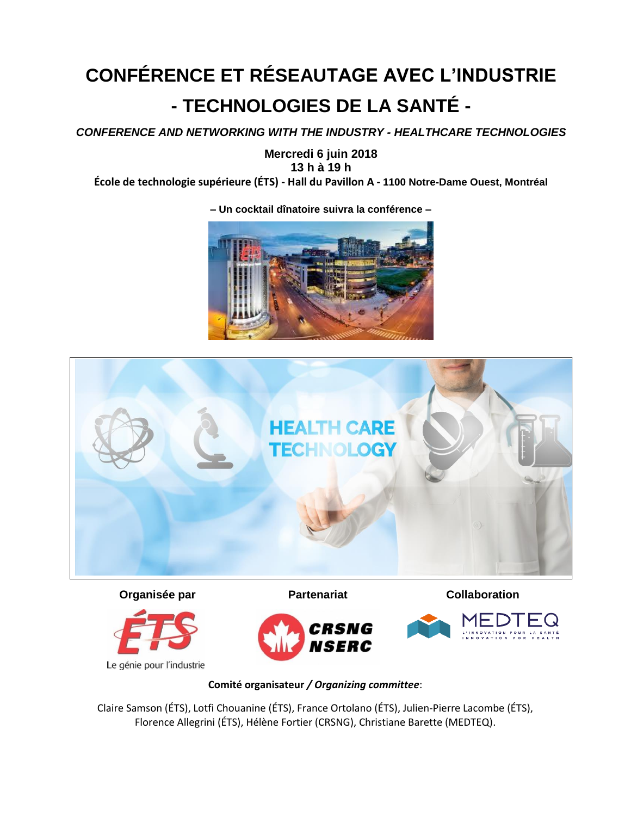## **CONFÉRENCE ET RÉSEAUTAGE AVEC L'INDUSTRIE - TECHNOLOGIES DE LA SANTÉ -**

*CONFERENCE AND NETWORKING WITH THE INDUSTRY - HEALTHCARE TECHNOLOGIES* 

**Mercredi 6 juin 2018 13 h à 19 h**

**École de technologie supérieure (ÉTS) - Hall du Pavillon A - 1100 Notre-Dame Ouest, Montréal**



**HEALTH CARE** 



Le génie pour l'industrie



**Organisée par <b>Partenariat Partenariat Collaboration** 



## **Comité organisateur** */ Organizing committee*:

Claire Samson (ÉTS), Lotfi Chouanine (ÉTS), France Ortolano (ÉTS), Julien-Pierre Lacombe (ÉTS), Florence Allegrini (ÉTS), Hélène Fortier (CRSNG), Christiane Barette (MEDTEQ).

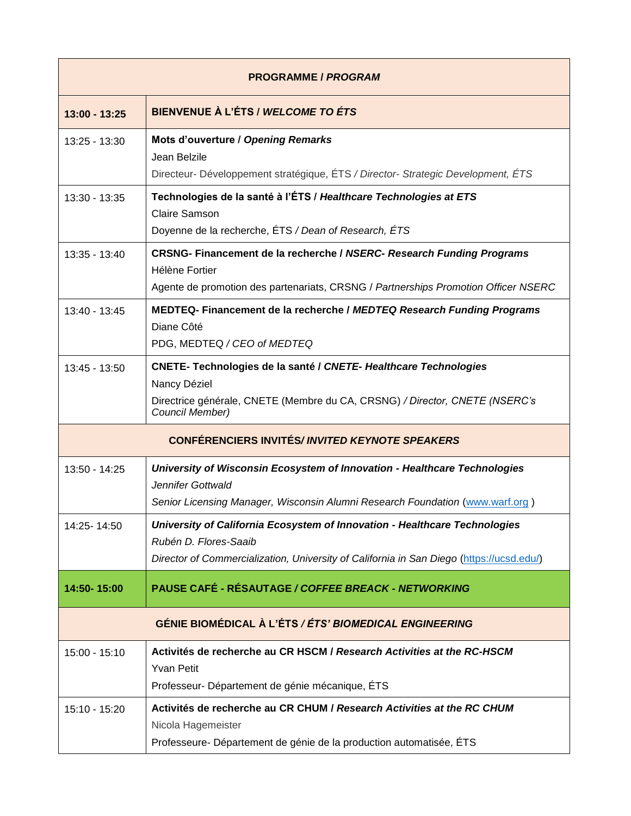| <b>PROGRAMME / PROGRAM</b>                                    |                                                                                                                                                                                                 |  |
|---------------------------------------------------------------|-------------------------------------------------------------------------------------------------------------------------------------------------------------------------------------------------|--|
| $13:00 - 13:25$                                               | BIENVENUE À L'ÉTS / WELCOME TO ÉTS                                                                                                                                                              |  |
| 13:25 - 13:30                                                 | Mots d'ouverture / Opening Remarks<br>Jean Belzile<br>Directeur- Développement stratégique, ÉTS / Director- Strategic Development, ÉTS                                                          |  |
| $13:30 - 13:35$                                               | Technologies de la santé à l'ÉTS / Healthcare Technologies at ETS<br><b>Claire Samson</b><br>Doyenne de la recherche, ÉTS / Dean of Research, ÉTS                                               |  |
| 13:35 - 13:40                                                 | <b>CRSNG- Financement de la recherche / NSERC- Research Funding Programs</b><br>Hélène Fortier<br>Agente de promotion des partenariats, CRSNG / Partnerships Promotion Officer NSERC            |  |
| $13:40 - 13:45$                                               | MEDTEQ- Financement de la recherche / MEDTEQ Research Funding Programs<br>Diane Côté<br>PDG, MEDTEQ / CEO of MEDTEQ                                                                             |  |
| 13:45 - 13:50                                                 | CNETE- Technologies de la santé / CNETE- Healthcare Technologies<br>Nancy Déziel<br>Directrice générale, CNETE (Membre du CA, CRSNG) / Director, CNETE (NSERC's<br>Council Member)              |  |
|                                                               | <b>CONFÉRENCIERS INVITÉS/INVITED KEYNOTE SPEAKERS</b>                                                                                                                                           |  |
| $13:50 - 14:25$                                               | University of Wisconsin Ecosystem of Innovation - Healthcare Technologies<br>Jennifer Gottwald<br>Senior Licensing Manager, Wisconsin Alumni Research Foundation (www.warf.org)                 |  |
| 14:25-14:50                                                   | University of California Ecosystem of Innovation - Healthcare Technologies<br>Rubén D. Flores-Saaib<br>Director of Commercialization, University of California in San Diego (https://ucsd.edu/) |  |
| 14:50-15:00                                                   | <b>PAUSE CAFÉ - RÉSAUTAGE / COFFEE BREACK - NETWORKING</b>                                                                                                                                      |  |
| <b>GÉNIE BIOMÉDICAL À L'ÉTS / ÉTS' BIOMEDICAL ENGINEERING</b> |                                                                                                                                                                                                 |  |
| $15:00 - 15:10$                                               | Activités de recherche au CR HSCM / Research Activities at the RC-HSCM<br><b>Yvan Petit</b><br>Professeur- Département de génie mécanique, ÉTS                                                  |  |
| 15:10 - 15:20                                                 | Activités de recherche au CR CHUM / Research Activities at the RC CHUM<br>Nicola Hagemeister<br>Professeure- Département de génie de la production automatisée, ÉTS                             |  |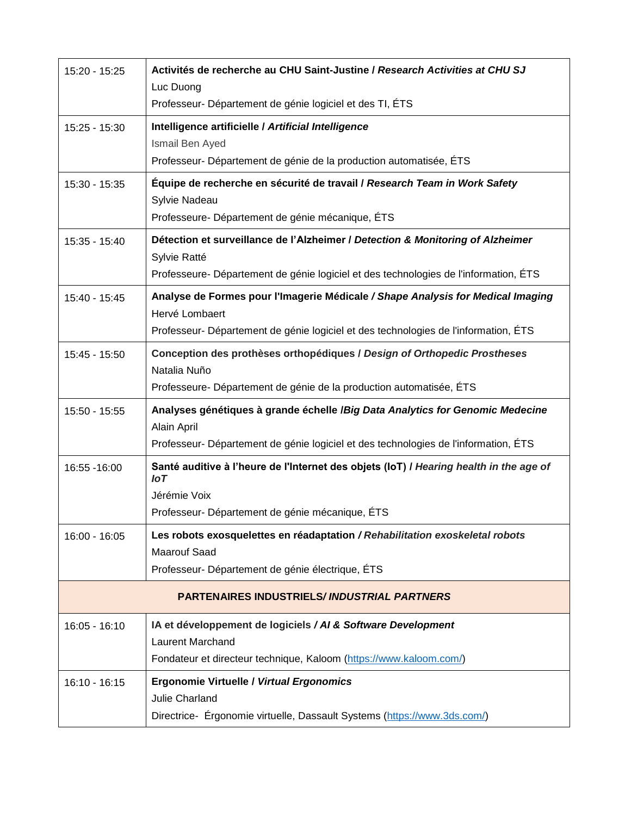| 15:20 - 15:25                                      | Activités de recherche au CHU Saint-Justine / Research Activities at CHU SJ<br>Luc Duong              |  |
|----------------------------------------------------|-------------------------------------------------------------------------------------------------------|--|
|                                                    | Professeur- Département de génie logiciel et des TI, ÉTS                                              |  |
| 15:25 - 15:30                                      | Intelligence artificielle / Artificial Intelligence<br>Ismail Ben Ayed                                |  |
|                                                    | Professeur- Département de génie de la production automatisée, ÉTS                                    |  |
| 15:30 - 15:35                                      | Équipe de recherche en sécurité de travail / Research Team in Work Safety<br>Sylvie Nadeau            |  |
|                                                    | Professeure- Département de génie mécanique, ÉTS                                                      |  |
| 15:35 - 15:40                                      | Détection et surveillance de l'Alzheimer / Detection & Monitoring of Alzheimer<br>Sylvie Ratté        |  |
|                                                    | Professeure- Département de génie logiciel et des technologies de l'information, ÉTS                  |  |
| 15:40 - 15:45                                      | Analyse de Formes pour l'Imagerie Médicale / Shape Analysis for Medical Imaging<br>Hervé Lombaert     |  |
|                                                    | Professeur- Département de génie logiciel et des technologies de l'information, ÉTS                   |  |
| 15:45 - 15:50                                      | Conception des prothèses orthopédiques / Design of Orthopedic Prostheses<br>Natalia Nuño              |  |
|                                                    | Professeure- Département de génie de la production automatisée, ÉTS                                   |  |
| $15:50 - 15:55$                                    | Analyses génétiques à grande échelle /Big Data Analytics for Genomic Medecine<br>Alain April          |  |
|                                                    | Professeur- Département de génie logiciel et des technologies de l'information, ÉTS                   |  |
| 16:55 - 16:00                                      | Santé auditive à l'heure de l'Internet des objets (IoT) / Hearing health in the age of<br>$I \circ T$ |  |
|                                                    | Jérémie Voix<br>Professeur- Département de génie mécanique, ÉTS                                       |  |
| 16:00 - 16:05                                      | Les robots exosquelettes en réadaptation / Rehabilitation exoskeletal robots                          |  |
|                                                    | <b>Maarouf Saad</b><br>Professeur- Département de génie électrique, ÉTS                               |  |
| <b>PARTENAIRES INDUSTRIELS/INDUSTRIAL PARTNERS</b> |                                                                                                       |  |
| $16:05 - 16:10$                                    | IA et développement de logiciels / AI & Software Development<br><b>Laurent Marchand</b>               |  |
|                                                    | Fondateur et directeur technique, Kaloom (https://www.kaloom.com/)                                    |  |
| $16:10 - 16:15$                                    | <b>Ergonomie Virtuelle / Virtual Ergonomics</b><br>Julie Charland                                     |  |
|                                                    | Directrice- Érgonomie virtuelle, Dassault Systems (https://www.3ds.com/)                              |  |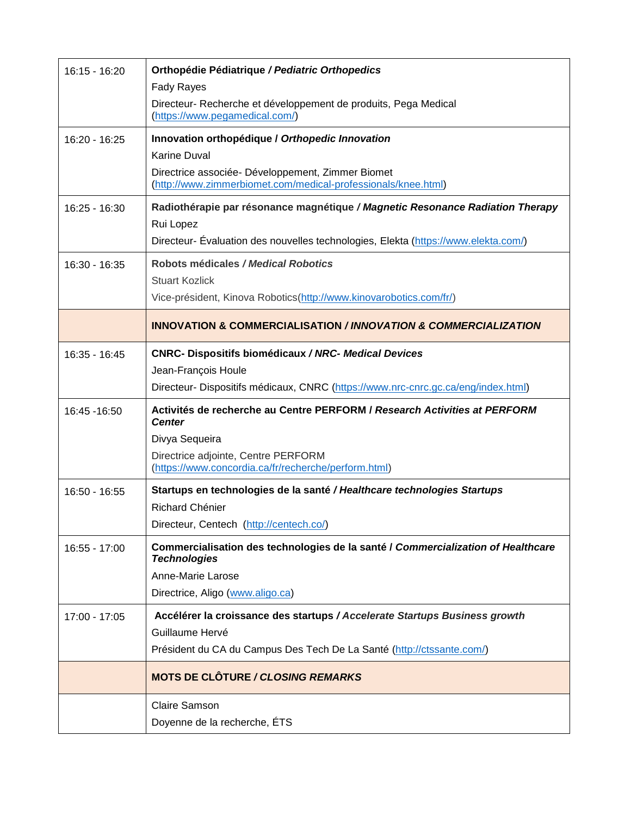| $16:15 - 16:20$ | Orthopédie Pédiatrique / Pediatric Orthopedics                                                                     |
|-----------------|--------------------------------------------------------------------------------------------------------------------|
|                 | <b>Fady Rayes</b>                                                                                                  |
|                 | Directeur- Recherche et développement de produits, Pega Medical<br>(https://www.pegamedical.com/)                  |
| 16:20 - 16:25   | Innovation orthopédique / Orthopedic Innovation                                                                    |
|                 | <b>Karine Duval</b>                                                                                                |
|                 | Directrice associée- Développement, Zimmer Biomet<br>(http://www.zimmerbiomet.com/medical-professionals/knee.html) |
| $16:25 - 16:30$ | Radiothérapie par résonance magnétique / Magnetic Resonance Radiation Therapy                                      |
|                 | Rui Lopez                                                                                                          |
|                 | Directeur- Evaluation des nouvelles technologies, Elekta (https://www.elekta.com/)                                 |
| $16:30 - 16:35$ | Robots médicales / Medical Robotics                                                                                |
|                 | Stuart Kozlick                                                                                                     |
|                 | Vice-président, Kinova Robotics(http://www.kinovarobotics.com/fr/)                                                 |
|                 | <b>INNOVATION &amp; COMMERCIALISATION / INNOVATION &amp; COMMERCIALIZATION</b>                                     |
| 16:35 - 16:45   | <b>CNRC- Dispositifs biomédicaux / NRC- Medical Devices</b>                                                        |
|                 | Jean-François Houle                                                                                                |
|                 | Directeur- Dispositifs médicaux, CNRC (https://www.nrc-cnrc.gc.ca/eng/index.html)                                  |
| 16:45 - 16:50   | Activités de recherche au Centre PERFORM / Research Activities at PERFORM<br><b>Center</b>                         |
|                 | Divya Sequeira                                                                                                     |
|                 | Directrice adjointe, Centre PERFORM<br>(https://www.concordia.ca/fr/recherche/perform.html)                        |
| 16:50 - 16:55   | Startups en technologies de la santé / Healthcare technologies Startups                                            |
|                 | <b>Richard Chénier</b>                                                                                             |
|                 | Directeur, Centech (http://centech.co/)                                                                            |
| 16:55 - 17:00   | Commercialisation des technologies de la santé / Commercialization of Healthcare<br><b>Technologies</b>            |
|                 | Anne-Marie Larose                                                                                                  |
|                 | Directrice, Aligo (www.aligo.ca)                                                                                   |
| 17:00 - 17:05   | Accélérer la croissance des startups / Accelerate Startups Business growth                                         |
|                 | Guillaume Hervé                                                                                                    |
|                 | Président du CA du Campus Des Tech De La Santé (http://ctssante.com/)                                              |
|                 | <b>MOTS DE CLÔTURE / CLOSING REMARKS</b>                                                                           |
|                 | <b>Claire Samson</b>                                                                                               |
|                 | Doyenne de la recherche, ETS                                                                                       |